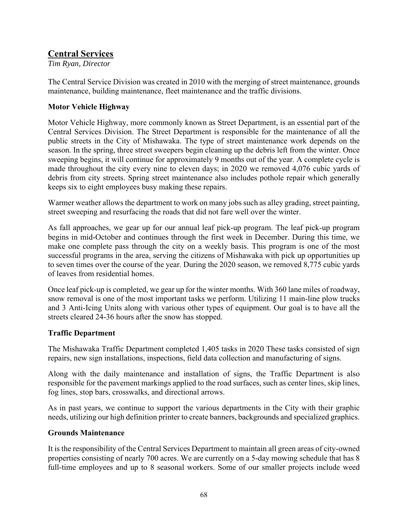# **Central Services**

*Tim Ryan, Director* 

The Central Service Division was created in 2010 with the merging of street maintenance, grounds maintenance, building maintenance, fleet maintenance and the traffic divisions.

## **Motor Vehicle Highway**

Motor Vehicle Highway, more commonly known as Street Department, is an essential part of the Central Services Division. The Street Department is responsible for the maintenance of all the public streets in the City of Mishawaka. The type of street maintenance work depends on the season. In the spring, three street sweepers begin cleaning up the debris left from the winter. Once sweeping begins, it will continue for approximately 9 months out of the year. A complete cycle is made throughout the city every nine to eleven days; in 2020 we removed 4,076 cubic yards of debris from city streets. Spring street maintenance also includes pothole repair which generally keeps six to eight employees busy making these repairs.

Warmer weather allows the department to work on many jobs such as alley grading, street painting, street sweeping and resurfacing the roads that did not fare well over the winter.

As fall approaches, we gear up for our annual leaf pick-up program. The leaf pick-up program begins in mid-October and continues through the first week in December. During this time, we make one complete pass through the city on a weekly basis. This program is one of the most successful programs in the area, serving the citizens of Mishawaka with pick up opportunities up to seven times over the course of the year. During the 2020 season, we removed 8,775 cubic yards of leaves from residential homes.

Once leaf pick-up is completed, we gear up for the winter months. With 360 lane miles of roadway, snow removal is one of the most important tasks we perform. Utilizing 11 main-line plow trucks and 3 Anti-Icing Units along with various other types of equipment. Our goal is to have all the streets cleared 24-36 hours after the snow has stopped.

### **Traffic Department**

The Mishawaka Traffic Department completed 1,405 tasks in 2020 These tasks consisted of sign repairs, new sign installations, inspections, field data collection and manufacturing of signs.

Along with the daily maintenance and installation of signs, the Traffic Department is also responsible for the pavement markings applied to the road surfaces, such as center lines, skip lines, fog lines, stop bars, crosswalks, and directional arrows.

As in past years, we continue to support the various departments in the City with their graphic needs, utilizing our high definition printer to create banners, backgrounds and specialized graphics.

### **Grounds Maintenance**

It is the responsibility of the Central Services Department to maintain all green areas of city-owned properties consisting of nearly 700 acres. We are currently on a 5-day mowing schedule that has 8 full-time employees and up to 8 seasonal workers. Some of our smaller projects include weed